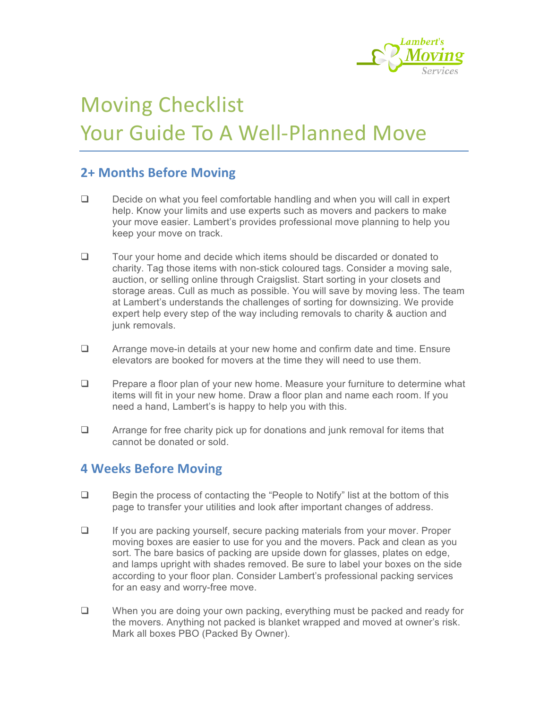

# **Moving Checklist** Your Guide To A Well-Planned Move

## **2+ Months Before Moving**

- $\Box$  Decide on what you feel comfortable handling and when you will call in expert help. Know your limits and use experts such as movers and packers to make your move easier. Lambert's provides professional move planning to help you keep your move on track.
- $\Box$  Tour your home and decide which items should be discarded or donated to charity. Tag those items with non-stick coloured tags. Consider a moving sale, auction, or selling online through Craigslist. Start sorting in your closets and storage areas. Cull as much as possible. You will save by moving less. The team at Lambert's understands the challenges of sorting for downsizing. We provide expert help every step of the way including removals to charity & auction and junk removals.
- $\Box$  Arrange move-in details at your new home and confirm date and time. Ensure elevators are booked for movers at the time they will need to use them.
- $\Box$  Prepare a floor plan of your new home. Measure your furniture to determine what items will fit in your new home. Draw a floor plan and name each room. If you need a hand, Lambert's is happy to help you with this.
- $\Box$  Arrange for free charity pick up for donations and junk removal for items that cannot be donated or sold.

## **4 Weeks Before Moving**

- $\Box$  Begin the process of contacting the "People to Notify" list at the bottom of this page to transfer your utilities and look after important changes of address.
- $\Box$  If you are packing yourself, secure packing materials from your mover. Proper moving boxes are easier to use for you and the movers. Pack and clean as you sort. The bare basics of packing are upside down for glasses, plates on edge, and lamps upright with shades removed. Be sure to label your boxes on the side according to your floor plan. Consider Lambert's professional packing services for an easy and worry-free move.
- $\Box$  When you are doing your own packing, everything must be packed and ready for the movers. Anything not packed is blanket wrapped and moved at owner's risk. Mark all boxes PBO (Packed By Owner).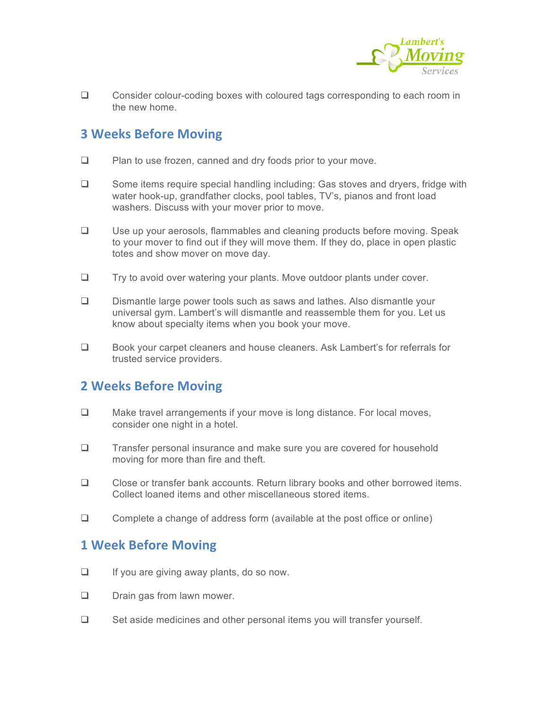

 $\Box$  Consider colour-coding boxes with coloured tags corresponding to each room in the new home.

## **3 Weeks Before Moving**

- $\Box$  Plan to use frozen, canned and dry foods prior to your move.
- $\Box$  Some items require special handling including: Gas stoves and dryers, fridge with water hook-up, grandfather clocks, pool tables, TV's, pianos and front load washers. Discuss with your mover prior to move.
- □ Use up your aerosols, flammables and cleaning products before moving. Speak to your mover to find out if they will move them. If they do, place in open plastic totes and show mover on move day.
- $\Box$  Try to avoid over watering your plants. Move outdoor plants under cover.
- $\Box$  Dismantle large power tools such as saws and lathes. Also dismantle your universal gym. Lambert's will dismantle and reassemble them for you. Let us know about specialty items when you book your move.
- □ Book your carpet cleaners and house cleaners. Ask Lambert's for referrals for trusted service providers.

### **2 Weeks Before Moving**

- $\Box$  Make travel arrangements if your move is long distance. For local moves, consider one night in a hotel.
- $\Box$  Transfer personal insurance and make sure you are covered for household moving for more than fire and theft.
- $\Box$  Close or transfer bank accounts. Return library books and other borrowed items. Collect loaned items and other miscellaneous stored items.
- $\Box$  Complete a change of address form (available at the post office or online)

#### **1 Week Before Moving**

- $\Box$  If you are giving away plants, do so now.
- $\Box$  Drain gas from lawn mower.
- $\Box$  Set aside medicines and other personal items you will transfer yourself.